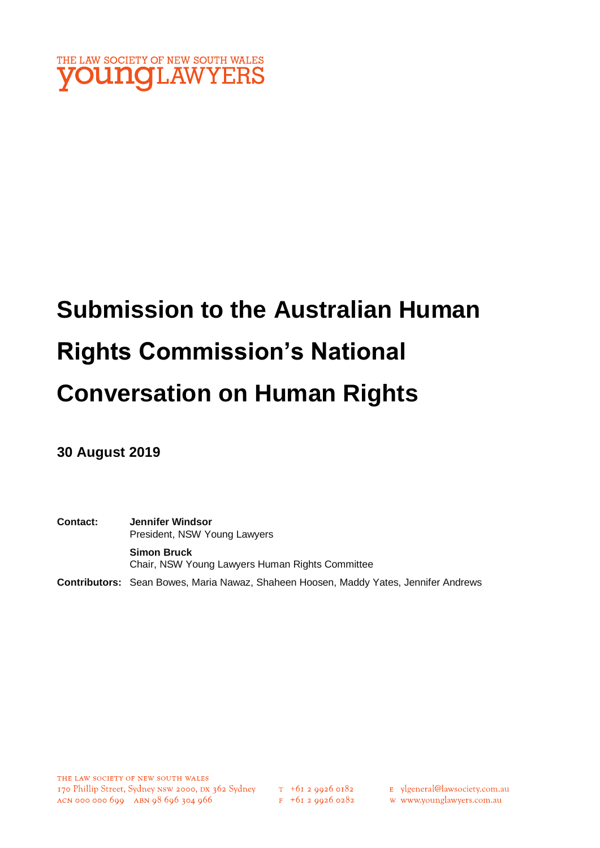

# **Submission to the Australian Human Rights Commission's National Conversation on Human Rights**

**30 August 2019**

**Contact: Jennifer Windsor**  President, NSW Young Lawyers **Simon Bruck** Chair, NSW Young Lawyers Human Rights Committee

**Contributors:** Sean Bowes, Maria Nawaz, Shaheen Hoosen, Maddy Yates, Jennifer Andrews

 $T_{+61}$  2 9926 0182  $F + 6I$  2 9926 0282

E ylgeneral@lawsociety.com.au w www.younglawyers.com.au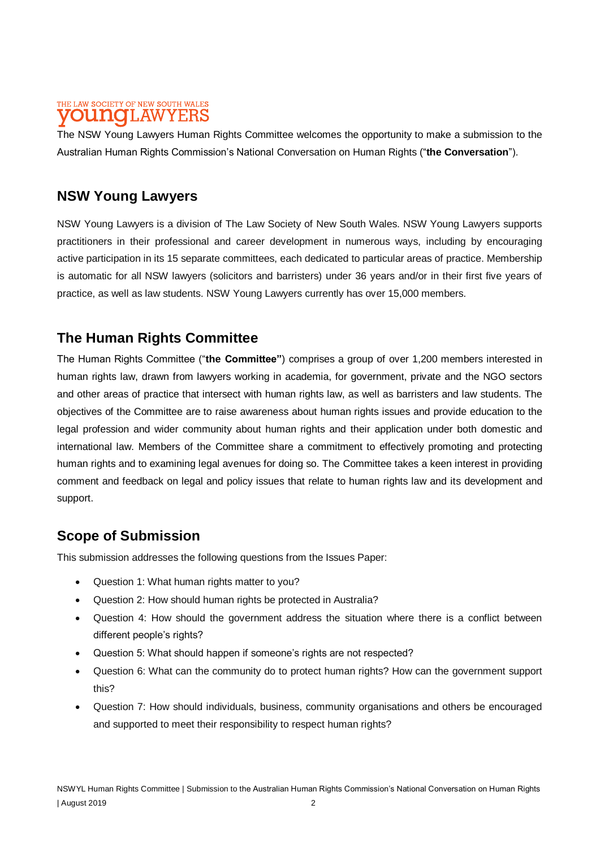### THE LAW SOCIETY OF NEW SOUTH WALES **DUNOLAWYERS**

The NSW Young Lawyers Human Rights Committee welcomes the opportunity to make a submission to the Australian Human Rights Commission's National Conversation on Human Rights ("**the Conversation**").

# **NSW Young Lawyers**

NSW Young Lawyers is a division of The Law Society of New South Wales. NSW Young Lawyers supports practitioners in their professional and career development in numerous ways, including by encouraging active participation in its 15 separate committees, each dedicated to particular areas of practice. Membership is automatic for all NSW lawyers (solicitors and barristers) under 36 years and/or in their first five years of practice, as well as law students. NSW Young Lawyers currently has over 15,000 members.

# **The Human Rights Committee**

The Human Rights Committee ("**the Committee"**) comprises a group of over 1,200 members interested in human rights law, drawn from lawyers working in academia, for government, private and the NGO sectors and other areas of practice that intersect with human rights law, as well as barristers and law students. The objectives of the Committee are to raise awareness about human rights issues and provide education to the legal profession and wider community about human rights and their application under both domestic and international law. Members of the Committee share a commitment to effectively promoting and protecting human rights and to examining legal avenues for doing so. The Committee takes a keen interest in providing comment and feedback on legal and policy issues that relate to human rights law and its development and support.

# **Scope of Submission**

This submission addresses the following questions from the Issues Paper:

- Question 1: What human rights matter to you?
- Question 2: How should human rights be protected in Australia?
- Question 4: How should the government address the situation where there is a conflict between different people's rights?
- Question 5: What should happen if someone's rights are not respected?
- Question 6: What can the community do to protect human rights? How can the government support this?
- Question 7: How should individuals, business, community organisations and others be encouraged and supported to meet their responsibility to respect human rights?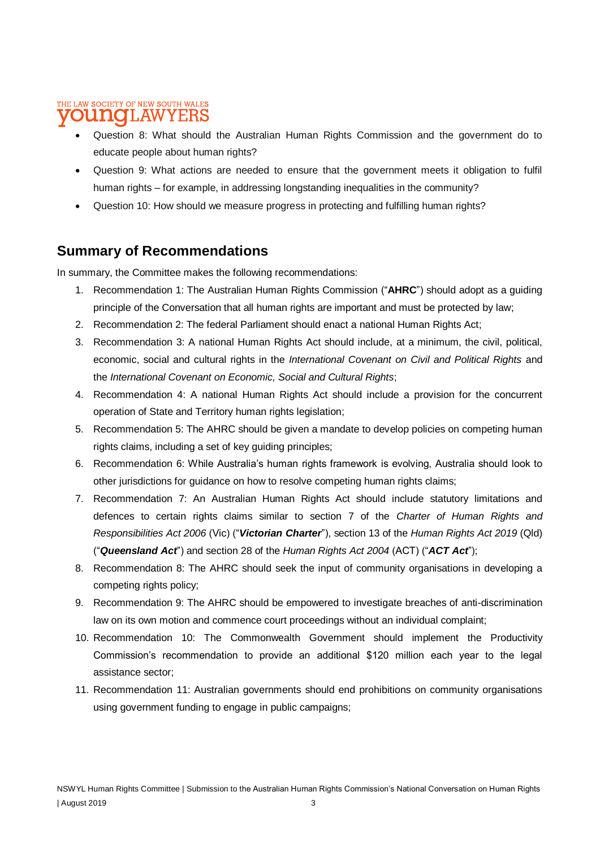#### THE LAW SOCIETY OF NEW SOUTH WALES **OUNOLAWYERS**

- Question 8: What should the Australian Human Rights Commission and the government do to educate people about human rights?
- Question 9: What actions are needed to ensure that the government meets it obligation to fulfil human rights – for example, in addressing longstanding inequalities in the community?
- Question 10: How should we measure progress in protecting and fulfilling human rights?

# **Summary of Recommendations**

In summary, the Committee makes the following recommendations:

- 1. Recommendation 1: The Australian Human Rights Commission ("**AHRC**") should adopt as a guiding principle of the Conversation that all human rights are important and must be protected by law;
- 2. Recommendation 2: The federal Parliament should enact a national Human Rights Act;
- 3. Recommendation 3: A national Human Rights Act should include, at a minimum, the civil, political, economic, social and cultural rights in the *International Covenant on Civil and Political Rights* and the *International Covenant on Economic, Social and Cultural Rights*;
- 4. Recommendation 4: A national Human Rights Act should include a provision for the concurrent operation of State and Territory human rights legislation;
- 5. Recommendation 5: The AHRC should be given a mandate to develop policies on competing human rights claims, including a set of key guiding principles;
- 6. Recommendation 6: While Australia's human rights framework is evolving, Australia should look to other jurisdictions for guidance on how to resolve competing human rights claims;
- 7. Recommendation 7: An Australian Human Rights Act should include statutory limitations and defences to certain rights claims similar to section 7 of the *Charter of Human Rights and Responsibilities Act 2006* (Vic) ("*Victorian Charter*"), section 13 of the *Human Rights Act 2019* (Qld) ("*Queensland Act*") and section 28 of the *Human Rights Act 2004* (ACT) ("*ACT Act*");
- 8. Recommendation 8: The AHRC should seek the input of community organisations in developing a competing rights policy;
- 9. Recommendation 9: The AHRC should be empowered to investigate breaches of anti-discrimination law on its own motion and commence court proceedings without an individual complaint;
- 10. Recommendation 10: The Commonwealth Government should implement the Productivity Commission's recommendation to provide an additional \$120 million each year to the legal assistance sector;
- 11. Recommendation 11: Australian governments should end prohibitions on community organisations using government funding to engage in public campaigns;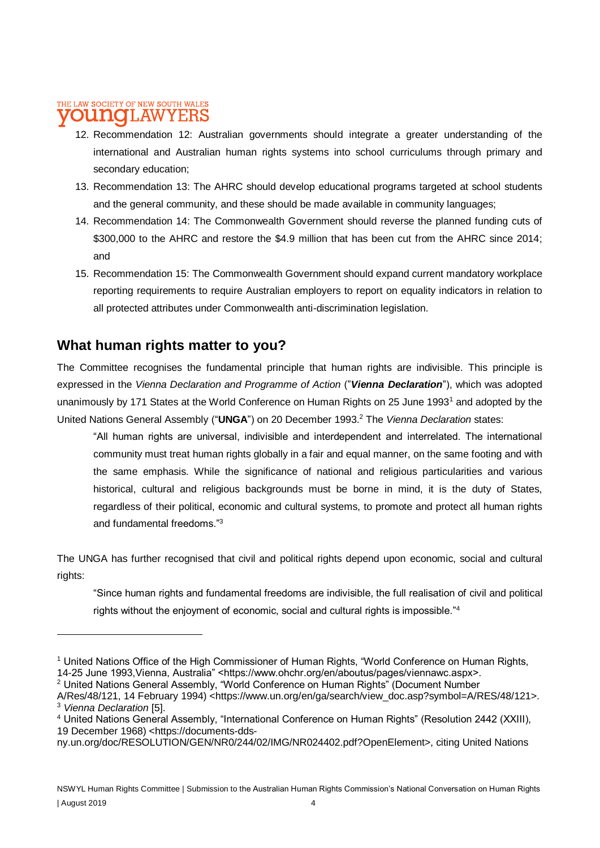#### THE LAW SOCIETY OF NEW SOUTH WALES T.AW

- 12. Recommendation 12: Australian governments should integrate a greater understanding of the international and Australian human rights systems into school curriculums through primary and secondary education;
- 13. Recommendation 13: The AHRC should develop educational programs targeted at school students and the general community, and these should be made available in community languages;
- 14. Recommendation 14: The Commonwealth Government should reverse the planned funding cuts of \$300,000 to the AHRC and restore the \$4.9 million that has been cut from the AHRC since 2014; and
- 15. Recommendation 15: The Commonwealth Government should expand current mandatory workplace reporting requirements to require Australian employers to report on equality indicators in relation to all protected attributes under Commonwealth anti-discrimination legislation.

# **What human rights matter to you?**

The Committee recognises the fundamental principle that human rights are indivisible. This principle is expressed in the *Vienna Declaration and Programme of Action* ("*Vienna Declaration*"), which was adopted unanimously by 171 States at the World Conference on Human Rights on 25 June 1993<sup>1</sup> and adopted by the United Nations General Assembly ("**UNGA**") on 20 December 1993.<sup>2</sup> The *Vienna Declaration* states:

"All human rights are universal, indivisible and interdependent and interrelated. The international community must treat human rights globally in a fair and equal manner, on the same footing and with the same emphasis. While the significance of national and religious particularities and various historical, cultural and religious backgrounds must be borne in mind, it is the duty of States, regardless of their political, economic and cultural systems, to promote and protect all human rights and fundamental freedoms."<sup>3</sup>

The UNGA has further recognised that civil and political rights depend upon economic, social and cultural rights:

"Since human rights and fundamental freedoms are indivisible, the full realisation of civil and political rights without the enjoyment of economic, social and cultural rights is impossible."<sup>4</sup>

<sup>2</sup> United Nations General Assembly, "World Conference on Human Rights" (Document Number

<sup>1</sup> United Nations Office of the High Commissioner of Human Rights, "World Conference on Human Rights, 14-25 June 1993,Vienna, Australia" <https://www.ohchr.org/en/aboutus/pages/viennawc.aspx>.

A/Res/48/121, 14 February 1994) <https://www.un.org/en/ga/search/view\_doc.asp?symbol=A/RES/48/121>. <sup>3</sup> *Vienna Declaration* [5].

<sup>4</sup> United Nations General Assembly, "International Conference on Human Rights" (Resolution 2442 (XXIII), 19 December 1968) <https://documents-dds-

ny.un.org/doc/RESOLUTION/GEN/NR0/244/02/IMG/NR024402.pdf?OpenElement>, citing United Nations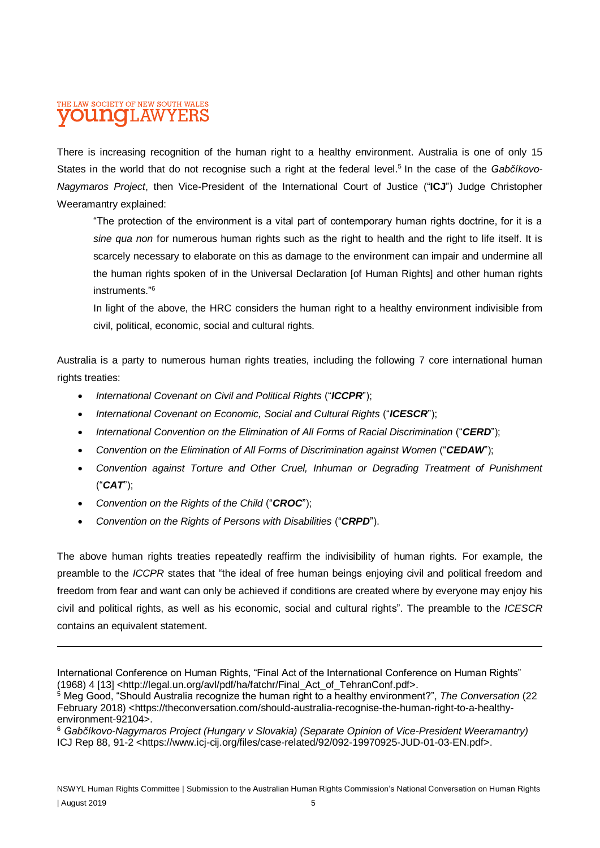#### THE LAW SOCIETY OF NEW SOUTH WALES [LAW DUINO

There is increasing recognition of the human right to a healthy environment. Australia is one of only 15 States in the world that do not recognise such a right at the federal level.<sup>5</sup> In the case of the Gabčíkovo-*Nagymaros Project*, then Vice-President of the International Court of Justice ("**ICJ**") Judge Christopher Weeramantry explained:

"The protection of the environment is a vital part of contemporary human rights doctrine, for it is a *sine qua non* for numerous human rights such as the right to health and the right to life itself. It is scarcely necessary to elaborate on this as damage to the environment can impair and undermine all the human rights spoken of in the Universal Declaration [of Human Rights] and other human rights instruments." 6

In light of the above, the HRC considers the human right to a healthy environment indivisible from civil, political, economic, social and cultural rights.

Australia is a party to numerous human rights treaties, including the following 7 core international human rights treaties:

- *International Covenant on Civil and Political Rights* ("*ICCPR*");
- *International Covenant on Economic, Social and Cultural Rights ("ICESCR")*;
- *International Convention on the Elimination of All Forms of Racial Discrimination* ("*CERD*");
- *Convention on the Elimination of All Forms of Discrimination against Women* ("*CEDAW*");
- *Convention against Torture and Other Cruel, Inhuman or Degrading Treatment of Punishment*  ("*CAT*");
- *Convention on the Rights of the Child* ("*CROC*");

 $\overline{a}$ 

• *Convention on the Rights of Persons with Disabilities* ("*CRPD*").

The above human rights treaties repeatedly reaffirm the indivisibility of human rights. For example, the preamble to the *ICCPR* states that "the ideal of free human beings enjoying civil and political freedom and freedom from fear and want can only be achieved if conditions are created where by everyone may enjoy his civil and political rights, as well as his economic, social and cultural rights". The preamble to the *ICESCR* contains an equivalent statement.

International Conference on Human Rights, "Final Act of the International Conference on Human Rights" (1968) 4 [13] <http://legal.un.org/avl/pdf/ha/fatchr/Final\_Act\_of\_TehranConf.pdf>.

<sup>5</sup> Meg Good, "Should Australia recognize the human right to a healthy environment?", *The Conversation* (22 February 2018) <https://theconversation.com/should-australia-recognise-the-human-right-to-a-healthyenvironment-92104>.

<sup>6</sup> *Gabčíkovo-Nagymaros Project (Hungary v Slovakia) (Separate Opinion of Vice-President Weeramantry)*  ICJ Rep 88, 91-2 <https://www.icj-cij.org/files/case-related/92/092-19970925-JUD-01-03-EN.pdf>.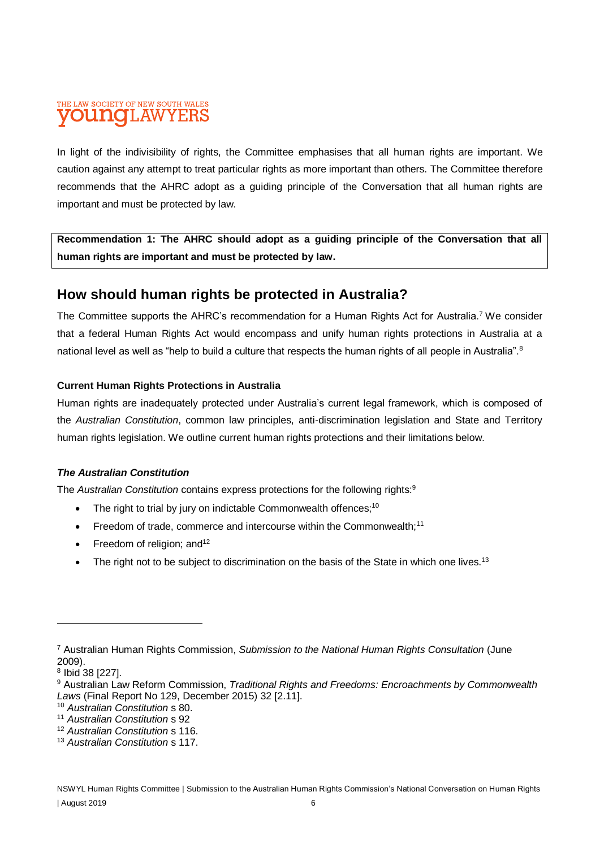#### THE LAW SOCIETY OF NEW SOUTH WALES **ILAW** DIJTIC

In light of the indivisibility of rights, the Committee emphasises that all human rights are important. We caution against any attempt to treat particular rights as more important than others. The Committee therefore recommends that the AHRC adopt as a guiding principle of the Conversation that all human rights are important and must be protected by law.

**Recommendation 1: The AHRC should adopt as a guiding principle of the Conversation that all human rights are important and must be protected by law.**

# **How should human rights be protected in Australia?**

The Committee supports the AHRC's recommendation for a Human Rights Act for Australia.<sup>7</sup> We consider that a federal Human Rights Act would encompass and unify human rights protections in Australia at a national level as well as "help to build a culture that respects the human rights of all people in Australia".<sup>8</sup>

### **Current Human Rights Protections in Australia**

Human rights are inadequately protected under Australia's current legal framework, which is composed of the *Australian Constitution*, common law principles, anti-discrimination legislation and State and Territory human rights legislation. We outline current human rights protections and their limitations below.

### *The Australian Constitution*

The *Australian Constitution* contains express protections for the following rights:<sup>9</sup>

- The right to trial by jury on indictable Commonwealth offences;<sup>10</sup>
- Freedom of trade, commerce and intercourse within the Commonwealth;<sup>11</sup>
- Freedom of religion; and<sup>12</sup>
- The right not to be subject to discrimination on the basis of the State in which one lives.<sup>13</sup>

<sup>7</sup> Australian Human Rights Commission, *Submission to the National Human Rights Consultation* (June 2009).

<sup>8</sup> Ibid 38 [227].

<sup>9</sup> Australian Law Reform Commission, *Traditional Rights and Freedoms: Encroachments by Commonwealth Laws* (Final Report No 129, December 2015) 32 [2.11].

<sup>10</sup> *Australian Constitution* s 80.

<sup>11</sup> *Australian Constitution* s 92

<sup>12</sup> *Australian Constitution* s 116.

<sup>13</sup> *Australian Constitution* s 117.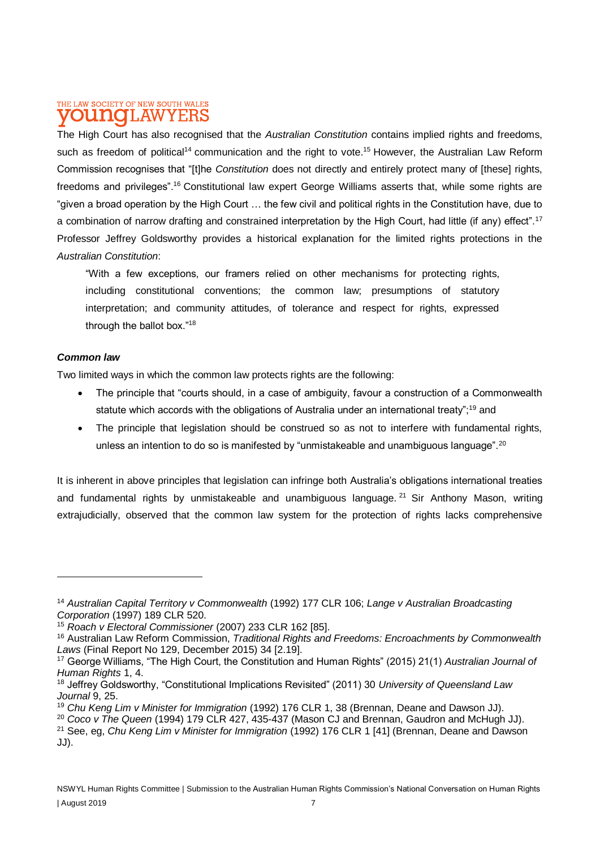### THE LAW SOCIETY OF NEW SOUTH WALES **OUITIO I.AWYEI**

The High Court has also recognised that the *Australian Constitution* contains implied rights and freedoms, such as freedom of political<sup>14</sup> communication and the right to vote.<sup>15</sup> However, the Australian Law Reform Commission recognises that "[t]he *Constitution* does not directly and entirely protect many of [these] rights, freedoms and privileges".<sup>16</sup> Constitutional law expert George Williams asserts that, while some rights are "given a broad operation by the High Court … the few civil and political rights in the Constitution have, due to a combination of narrow drafting and constrained interpretation by the High Court, had little (if any) effect".<sup>17</sup> Professor Jeffrey Goldsworthy provides a historical explanation for the limited rights protections in the *Australian Constitution*:

"With a few exceptions, our framers relied on other mechanisms for protecting rights, including constitutional conventions; the common law; presumptions of statutory interpretation; and community attitudes, of tolerance and respect for rights, expressed through the ballot box."<sup>18</sup>

#### *Common law*

Two limited ways in which the common law protects rights are the following:

- The principle that "courts should, in a case of ambiguity, favour a construction of a Commonwealth statute which accords with the obligations of Australia under an international treaty";<sup>19</sup> and
- The principle that legislation should be construed so as not to interfere with fundamental rights, unless an intention to do so is manifested by "unmistakeable and unambiguous language".<sup>20</sup>

It is inherent in above principles that legislation can infringe both Australia's obligations international treaties and fundamental rights by unmistakeable and unambiguous language. <sup>21</sup> Sir Anthony Mason, writing extrajudicially, observed that the common law system for the protection of rights lacks comprehensive

<sup>20</sup> *Coco v The Queen* (1994) 179 CLR 427, 435-437 (Mason CJ and Brennan, Gaudron and McHugh JJ).

<sup>14</sup> *Australian Capital Territory v Commonwealth* (1992) 177 CLR 106; *Lange v Australian Broadcasting Corporation* (1997) 189 CLR 520.

<sup>15</sup> *Roach v Electoral Commissioner* (2007) 233 CLR 162 [85].

<sup>16</sup> Australian Law Reform Commission, *Traditional Rights and Freedoms: Encroachments by Commonwealth Laws* (Final Report No 129, December 2015) 34 [2.19].

<sup>17</sup> George Williams, "The High Court, the Constitution and Human Rights" (2015) 21(1) *Australian Journal of Human Rights* 1, 4.

<sup>18</sup> Jeffrey Goldsworthy, "Constitutional Implications Revisited" (2011) 30 *University of Queensland Law Journal* 9, 25.

<sup>19</sup> *Chu Keng Lim v Minister for Immigration* (1992) 176 CLR 1, 38 (Brennan, Deane and Dawson JJ).

<sup>21</sup> See, eg, *Chu Keng Lim v Minister for Immigration* (1992) 176 CLR 1 [41] (Brennan, Deane and Dawson JJ).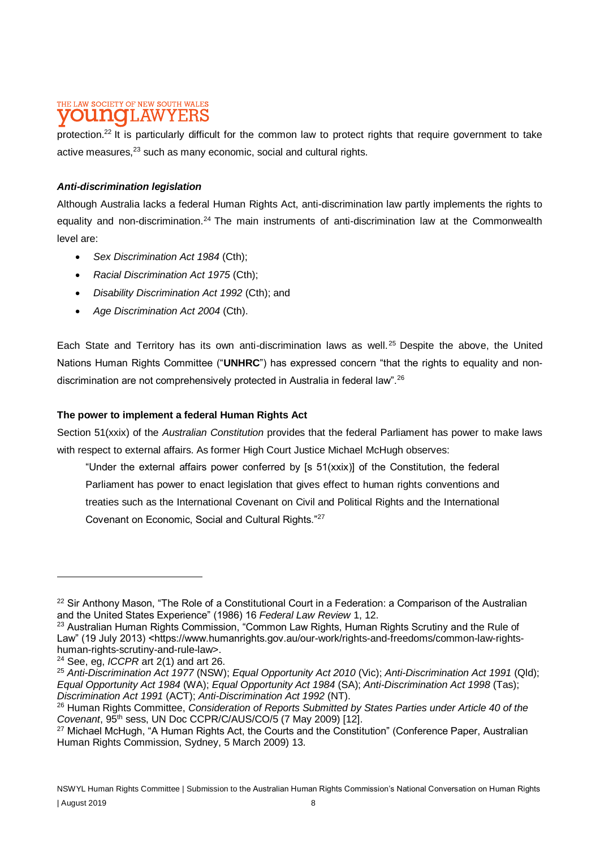#### THE LAW SOCIETY OF NEW SOUTH WALES **DUNOLAWYERS**

protection.<sup>22</sup> It is particularly difficult for the common law to protect rights that require government to take active measures,<sup>23</sup> such as many economic, social and cultural rights.

### *Anti-discrimination legislation*

Although Australia lacks a federal Human Rights Act, anti-discrimination law partly implements the rights to equality and non-discrimination.<sup>24</sup> The main instruments of anti-discrimination law at the Commonwealth level are:

- *Sex Discrimination Act 1984* (Cth);
- *Racial Discrimination Act 1975* (Cth);
- *Disability Discrimination Act 1992* (Cth); and
- *Age Discrimination Act 2004* (Cth).

Each State and Territory has its own anti-discrimination laws as well. <sup>25</sup> Despite the above, the United Nations Human Rights Committee ("**UNHRC**") has expressed concern "that the rights to equality and nondiscrimination are not comprehensively protected in Australia in federal law".<sup>26</sup>

#### **The power to implement a federal Human Rights Act**

Section 51(xxix) of the *Australian Constitution* provides that the federal Parliament has power to make laws with respect to external affairs. As former High Court Justice Michael McHugh observes:

"Under the external affairs power conferred by  $[s 51(xxix)]$  of the Constitution, the federal Parliament has power to enact legislation that gives effect to human rights conventions and treaties such as the International Covenant on Civil and Political Rights and the International Covenant on Economic, Social and Cultural Rights."<sup>27</sup>

<sup>&</sup>lt;sup>22</sup> Sir Anthony Mason, "The Role of a Constitutional Court in a Federation: a Comparison of the Australian and the United States Experience" (1986) 16 *Federal Law Review* 1, 12.

<sup>&</sup>lt;sup>23</sup> Australian Human Rights Commission, "Common Law Rights, Human Rights Scrutiny and the Rule of Law" (19 July 2013) <https://www.humanrights.gov.au/our-work/rights-and-freedoms/common-law-rightshuman-rights-scrutiny-and-rule-law>.

<sup>24</sup> See, eg, *ICCPR* art 2(1) and art 26.

<sup>25</sup> *Anti-Discrimination Act 1977* (NSW); *Equal Opportunity Act 2010* (Vic); *Anti-Discrimination Act 1991* (Qld); *Equal Opportunity Act 1984* (WA); *Equal Opportunity Act 1984* (SA); *Anti-Discrimination Act 1998* (Tas); *Discrimination Act 1991* (ACT); *Anti-Discrimination Act 1992* (NT).

<sup>26</sup> Human Rights Committee, *Consideration of Reports Submitted by States Parties under Article 40 of the Covenant*, 95th sess, UN Doc CCPR/C/AUS/CO/5 (7 May 2009) [12].

<sup>&</sup>lt;sup>27</sup> Michael McHugh, "A Human Rights Act, the Courts and the Constitution" (Conference Paper, Australian Human Rights Commission, Sydney, 5 March 2009) 13.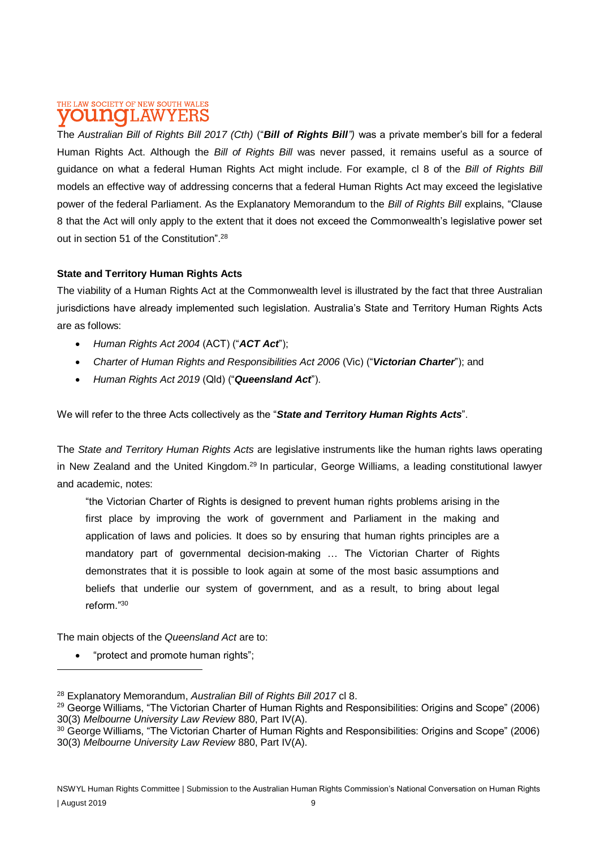### THE LAW SOCIETY OF NEW SOUTH WALES **DUNOLAWYERS**

The *Australian Bill of Rights Bill 2017 (Cth)* ("*Bill of Rights Bill")* was a private member's bill for a federal Human Rights Act. Although the *Bill of Rights Bill* was never passed, it remains useful as a source of guidance on what a federal Human Rights Act might include. For example, cl 8 of the *Bill of Rights Bill*  models an effective way of addressing concerns that a federal Human Rights Act may exceed the legislative power of the federal Parliament. As the Explanatory Memorandum to the *Bill of Rights Bill* explains, "Clause 8 that the Act will only apply to the extent that it does not exceed the Commonwealth's legislative power set out in section 51 of the Constitution".<sup>28</sup>

### **State and Territory Human Rights Acts**

The viability of a Human Rights Act at the Commonwealth level is illustrated by the fact that three Australian jurisdictions have already implemented such legislation. Australia's State and Territory Human Rights Acts are as follows:

- *Human Rights Act 2004* (ACT) ("*ACT Act*");
- *Charter of Human Rights and Responsibilities Act 2006* (Vic) ("*Victorian Charter*"); and
- *Human Rights Act 2019* (Qld) ("*Queensland Act*").

We will refer to the three Acts collectively as the "*State and Territory Human Rights Acts*".

The *State and Territory Human Rights Acts* are legislative instruments like the human rights laws operating in New Zealand and the United Kingdom.<sup>29</sup> In particular, George Williams, a leading constitutional lawyer and academic, notes:

"the Victorian Charter of Rights is designed to prevent human rights problems arising in the first place by improving the work of government and Parliament in the making and application of laws and policies. It does so by ensuring that human rights principles are a mandatory part of governmental decision-making … The Victorian Charter of Rights demonstrates that it is possible to look again at some of the most basic assumptions and beliefs that underlie our system of government, and as a result, to bring about legal reform<sup>"30</sup>

The main objects of the *Queensland Act* are to:

"protect and promote human rights";

<sup>28</sup> Explanatory Memorandum, *Australian Bill of Rights Bill 2017* cl 8.

<sup>&</sup>lt;sup>29</sup> George Williams, "The Victorian Charter of Human Rights and Responsibilities: Origins and Scope" (2006) 30(3) *Melbourne University Law Review* 880, Part IV(A).

<sup>30</sup> George Williams, "The Victorian Charter of Human Rights and Responsibilities: Origins and Scope" (2006) 30(3) *Melbourne University Law Review* 880, Part IV(A).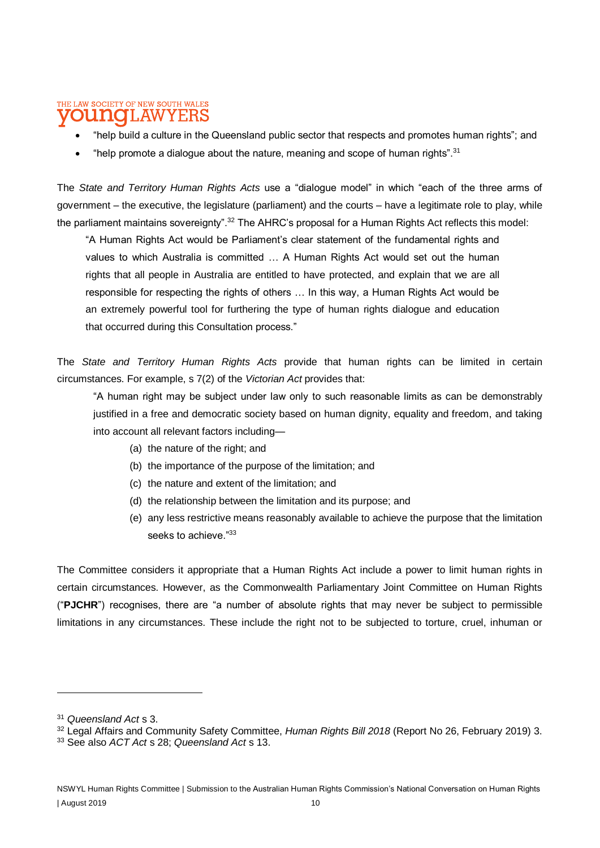#### THE LAW SOCIETY OF NEW SOUTH WALES LAWYERS

- "help build a culture in the Queensland public sector that respects and promotes human rights"; and
- "help promote a dialogue about the nature, meaning and scope of human rights".<sup>31</sup>

The *State and Territory Human Rights Acts* use a "dialogue model" in which "each of the three arms of government – the executive, the legislature (parliament) and the courts – have a legitimate role to play, while the parliament maintains sovereignty".<sup>32</sup> The AHRC's proposal for a Human Rights Act reflects this model:

"A Human Rights Act would be Parliament's clear statement of the fundamental rights and values to which Australia is committed … A Human Rights Act would set out the human rights that all people in Australia are entitled to have protected, and explain that we are all responsible for respecting the rights of others … In this way, a Human Rights Act would be an extremely powerful tool for furthering the type of human rights dialogue and education that occurred during this Consultation process."

The *State and Territory Human Rights Acts* provide that human rights can be limited in certain circumstances. For example, s 7(2) of the *Victorian Act* provides that:

"A human right may be subject under law only to such reasonable limits as can be demonstrably justified in a free and democratic society based on human dignity, equality and freedom, and taking into account all relevant factors including—

- (a) the nature of the right; and
- (b) the importance of the purpose of the limitation; and
- (c) the nature and extent of the limitation; and
- (d) the relationship between the limitation and its purpose; and
- (e) any less restrictive means reasonably available to achieve the purpose that the limitation seeks to achieve."33

The Committee considers it appropriate that a Human Rights Act include a power to limit human rights in certain circumstances. However, as the Commonwealth Parliamentary Joint Committee on Human Rights ("**PJCHR**") recognises, there are "a number of absolute rights that may never be subject to permissible limitations in any circumstances. These include the right not to be subjected to torture, cruel, inhuman or

<sup>31</sup> *Queensland Act* s 3.

<sup>32</sup> Legal Affairs and Community Safety Committee, *Human Rights Bill 2018* (Report No 26, February 2019) 3.

<sup>33</sup> See also *ACT Act* s 28; *Queensland Act* s 13.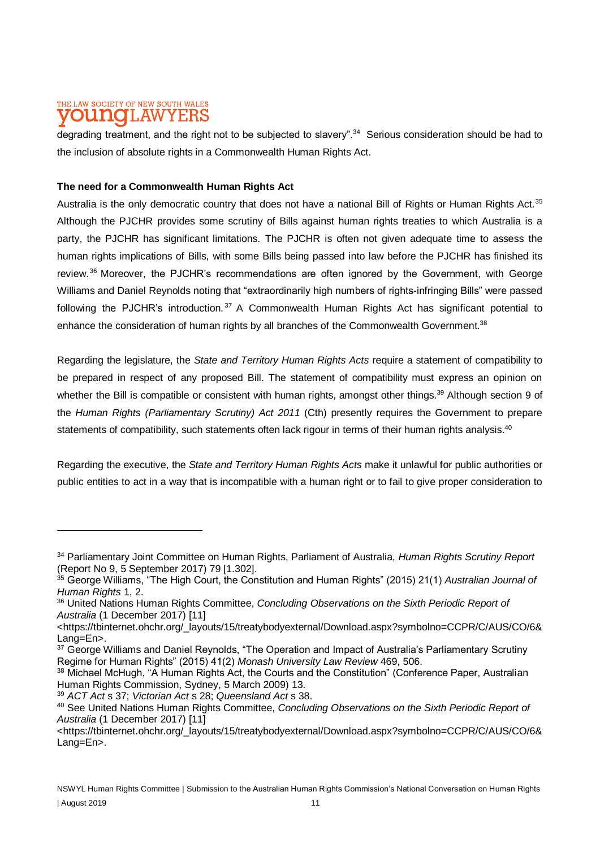#### THE LAW SOCIETY OF NEW SOUTH WALES **UNOLAWYER**

degrading treatment, and the right not to be subjected to slavery".<sup>34</sup> Serious consideration should be had to the inclusion of absolute rights in a Commonwealth Human Rights Act.

### **The need for a Commonwealth Human Rights Act**

Australia is the only democratic country that does not have a national Bill of Rights or Human Rights Act.<sup>35</sup> Although the PJCHR provides some scrutiny of Bills against human rights treaties to which Australia is a party, the PJCHR has significant limitations. The PJCHR is often not given adequate time to assess the human rights implications of Bills, with some Bills being passed into law before the PJCHR has finished its review.<sup>36</sup> Moreover, the PJCHR's recommendations are often ignored by the Government, with George Williams and Daniel Reynolds noting that "extraordinarily high numbers of rights-infringing Bills" were passed following the PJCHR's introduction.<sup>37</sup> A Commonwealth Human Rights Act has significant potential to enhance the consideration of human rights by all branches of the Commonwealth Government.<sup>38</sup>

Regarding the legislature, the *State and Territory Human Rights Acts* require a statement of compatibility to be prepared in respect of any proposed Bill. The statement of compatibility must express an opinion on whether the Bill is compatible or consistent with human rights, amongst other things.<sup>39</sup> Although section 9 of the *Human Rights (Parliamentary Scrutiny) Act 2011* (Cth) presently requires the Government to prepare statements of compatibility, such statements often lack rigour in terms of their human rights analysis.<sup>40</sup>

Regarding the executive, the *State and Territory Human Rights Acts* make it unlawful for public authorities or public entities to act in a way that is incompatible with a human right or to fail to give proper consideration to

<sup>34</sup> Parliamentary Joint Committee on Human Rights, Parliament of Australia, *Human Rights Scrutiny Report* (Report No 9, 5 September 2017) 79 [1.302].

<sup>35</sup> George Williams, "The High Court, the Constitution and Human Rights" (2015) 21(1) *Australian Journal of Human Rights* 1, 2.

<sup>36</sup> United Nations Human Rights Committee, *Concluding Observations on the Sixth Periodic Report of Australia* (1 December 2017) [11]

[<sup>&</sup>lt;https://tbinternet.ohchr.org/\\_layouts/15/treatybodyexternal/Download.aspx?symbolno=CCPR/C/AUS/CO/6&](https://tbinternet.ohchr.org/_layouts/15/treatybodyexternal/Download.aspx?symbolno=CCPR/C/AUS/CO/6&Lang=En) [Lang=En>](https://tbinternet.ohchr.org/_layouts/15/treatybodyexternal/Download.aspx?symbolno=CCPR/C/AUS/CO/6&Lang=En).

<sup>&</sup>lt;sup>37</sup> George Williams and Daniel Reynolds, "The Operation and Impact of Australia's Parliamentary Scrutiny Regime for Human Rights" (2015) 41(2) *Monash University Law Review* 469, 506.

<sup>38</sup> Michael McHugh, "A Human Rights Act, the Courts and the Constitution" (Conference Paper, Australian Human Rights Commission, Sydney, 5 March 2009) 13.

<sup>39</sup> *ACT Act* s 37; *Victorian Act* s 28; *Queensland Act* s 38.

<sup>40</sup> See United Nations Human Rights Committee, *Concluding Observations on the Sixth Periodic Report of Australia* (1 December 2017) [11]

[<sup>&</sup>lt;https://tbinternet.ohchr.org/\\_layouts/15/treatybodyexternal/Download.aspx?symbolno=CCPR/C/AUS/CO/6&](https://tbinternet.ohchr.org/_layouts/15/treatybodyexternal/Download.aspx?symbolno=CCPR/C/AUS/CO/6&Lang=En) [Lang=En>](https://tbinternet.ohchr.org/_layouts/15/treatybodyexternal/Download.aspx?symbolno=CCPR/C/AUS/CO/6&Lang=En).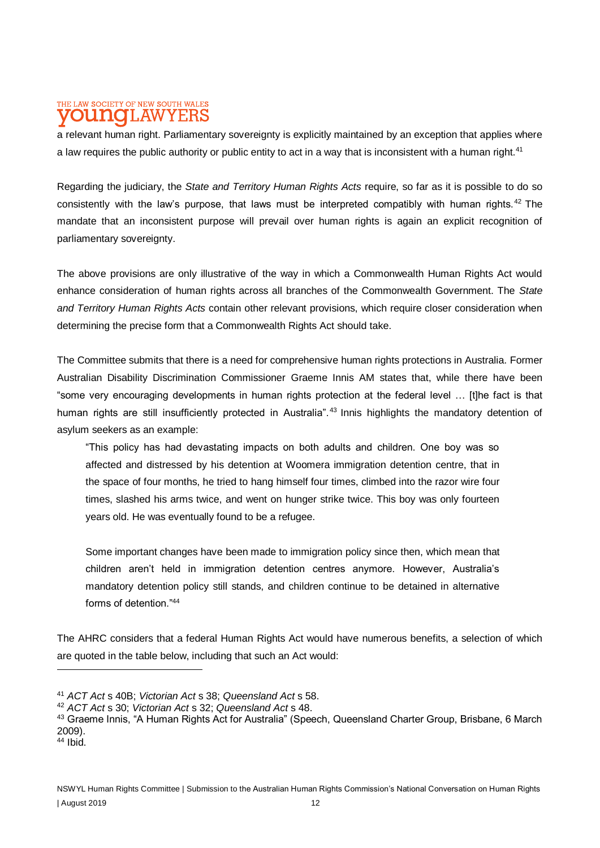#### THE LAW SOCIETY OF NEW SOUTH WALES **LAW** I II A TO Y E:F

a relevant human right. Parliamentary sovereignty is explicitly maintained by an exception that applies where a law requires the public authority or public entity to act in a way that is inconsistent with a human right.<sup>41</sup>

Regarding the judiciary, the *State and Territory Human Rights Acts* require, so far as it is possible to do so consistently with the law's purpose, that laws must be interpreted compatibly with human rights.<sup>42</sup> The mandate that an inconsistent purpose will prevail over human rights is again an explicit recognition of parliamentary sovereignty.

The above provisions are only illustrative of the way in which a Commonwealth Human Rights Act would enhance consideration of human rights across all branches of the Commonwealth Government. The *State and Territory Human Rights Acts* contain other relevant provisions, which require closer consideration when determining the precise form that a Commonwealth Rights Act should take.

The Committee submits that there is a need for comprehensive human rights protections in Australia. Former Australian Disability Discrimination Commissioner Graeme Innis AM states that, while there have been "some very encouraging developments in human rights protection at the federal level … [t]he fact is that human rights are still insufficiently protected in Australia".<sup>43</sup> Innis highlights the mandatory detention of asylum seekers as an example:

"This policy has had devastating impacts on both adults and children. One boy was so affected and distressed by his detention at Woomera immigration detention centre, that in the space of four months, he tried to hang himself four times, climbed into the razor wire four times, slashed his arms twice, and went on hunger strike twice. This boy was only fourteen years old. He was eventually found to be a refugee.

Some important changes have been made to immigration policy since then, which mean that children aren't held in immigration detention centres anymore. However, Australia's mandatory detention policy still stands, and children continue to be detained in alternative forms of detention  $\frac{44}{4}$ 

The AHRC considers that a federal Human Rights Act would have numerous benefits, a selection of which are quoted in the table below, including that such an Act would:

<sup>41</sup> *ACT Act* s 40B; *Victorian Act* s 38; *Queensland Act* s 58.

<sup>42</sup> *ACT Act* s 30; *Victorian Act* s 32; *Queensland Act* s 48.

<sup>43</sup> Graeme Innis, "A Human Rights Act for Australia" (Speech, Queensland Charter Group, Brisbane, 6 March 2009).

 $44$  Ibid.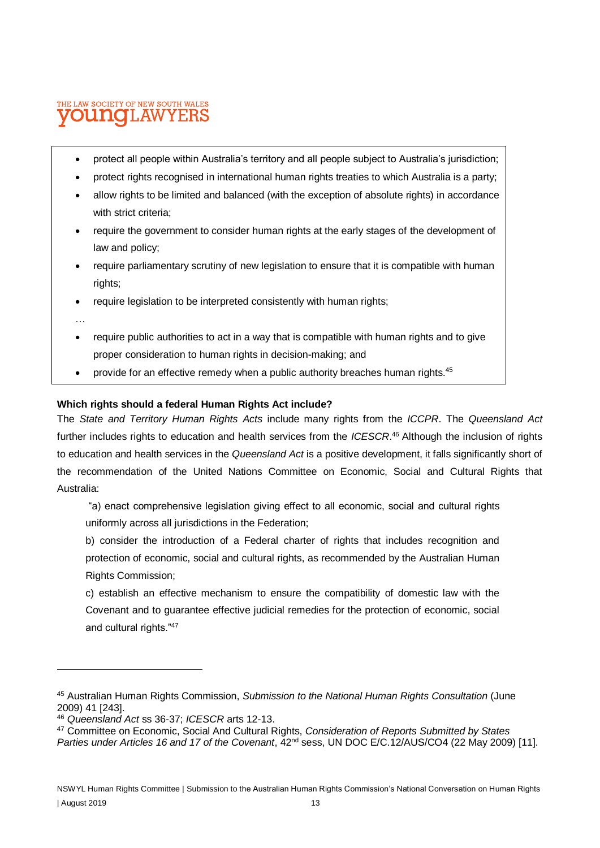#### THE LAW SOCIETY OF NEW SOUTH WALES oithaio T.AW

- protect all people within Australia's territory and all people subject to Australia's jurisdiction;
- protect rights recognised in international human rights treaties to which Australia is a party;
- allow rights to be limited and balanced (with the exception of absolute rights) in accordance with strict criteria;
- require the government to consider human rights at the early stages of the development of law and policy;
- require parliamentary scrutiny of new legislation to ensure that it is compatible with human rights;
- require legislation to be interpreted consistently with human rights;
- …

- require public authorities to act in a way that is compatible with human rights and to give proper consideration to human rights in decision-making; and
- provide for an effective remedy when a public authority breaches human rights.<sup>45</sup>

#### **Which rights should a federal Human Rights Act include?**

The *State and Territory Human Rights Acts* include many rights from the *ICCPR*. The *Queensland Act*  further includes rights to education and health services from the *ICESCR*. <sup>46</sup> Although the inclusion of rights to education and health services in the *Queensland Act* is a positive development, it falls significantly short of the recommendation of the United Nations Committee on Economic, Social and Cultural Rights that Australia:

"a) enact comprehensive legislation giving effect to all economic, social and cultural rights uniformly across all jurisdictions in the Federation;

b) consider the introduction of a Federal charter of rights that includes recognition and protection of economic, social and cultural rights, as recommended by the Australian Human Rights Commission;

c) establish an effective mechanism to ensure the compatibility of domestic law with the Covenant and to guarantee effective judicial remedies for the protection of economic, social and cultural rights."<sup>47</sup>

<sup>45</sup> Australian Human Rights Commission, *Submission to the National Human Rights Consultation* (June 2009) 41 [243].

<sup>46</sup> *Queensland Act* ss 36-37; *ICESCR* arts 12-13.

<sup>47</sup> Committee on Economic, Social And Cultural Rights, *Consideration of Reports Submitted by States* 

*Parties under Articles 16 and 17 of the Covenant*, 42<sup>nd</sup> sess, UN DOC E/C.12/AUS/CO4 (22 May 2009) [11].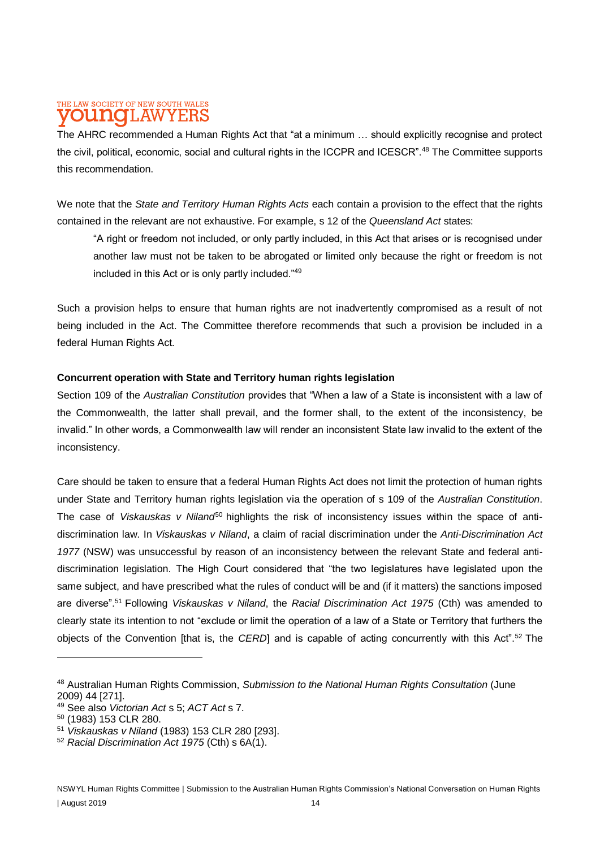#### THE LAW SOCIETY OF NEW SOUTH WALES 'LAW DIJIAIO YERS

The AHRC recommended a Human Rights Act that "at a minimum … should explicitly recognise and protect the civil, political, economic, social and cultural rights in the ICCPR and ICESCR".<sup>48</sup> The Committee supports this recommendation.

We note that the *State and Territory Human Rights Acts* each contain a provision to the effect that the rights contained in the relevant are not exhaustive. For example, s 12 of the *Queensland Act* states:

"A right or freedom not included, or only partly included, in this Act that arises or is recognised under another law must not be taken to be abrogated or limited only because the right or freedom is not included in this Act or is only partly included."<sup>49</sup>

Such a provision helps to ensure that human rights are not inadvertently compromised as a result of not being included in the Act. The Committee therefore recommends that such a provision be included in a federal Human Rights Act.

#### **Concurrent operation with State and Territory human rights legislation**

Section 109 of the *Australian Constitution* provides that "When a law of a State is inconsistent with a law of the Commonwealth, the latter shall prevail, and the former shall, to the extent of the inconsistency, be invalid." In other words, a Commonwealth law will render an inconsistent State law invalid to the extent of the inconsistency.

Care should be taken to ensure that a federal Human Rights Act does not limit the protection of human rights under State and Territory human rights legislation via the operation of s 109 of the *Australian Constitution*. The case of *Viskauskas v Niland*<sup>50</sup> highlights the risk of inconsistency issues within the space of antidiscrimination law. In *Viskauskas v Niland*, a claim of racial discrimination under the *Anti-Discrimination Act 1977* (NSW) was unsuccessful by reason of an inconsistency between the relevant State and federal antidiscrimination legislation. The High Court considered that "the two legislatures have legislated upon the same subject, and have prescribed what the rules of conduct will be and (if it matters) the sanctions imposed are diverse".<sup>51</sup> Following *Viskauskas v Niland*, the *Racial Discrimination Act 1975* (Cth) was amended to clearly state its intention to not "exclude or limit the operation of a law of a State or Territory that furthers the objects of the Convention [that is, the *CERD*] and is capable of acting concurrently with this Act".<sup>52</sup> The

<sup>48</sup> Australian Human Rights Commission, *Submission to the National Human Rights Consultation* (June 2009) 44 [271].

<sup>49</sup> See also *Victorian Act* s 5; *ACT Act* s 7.

<sup>50</sup> (1983) 153 CLR 280.

<sup>51</sup> *Viskauskas v Niland* (1983) 153 CLR 280 [293].

<sup>52</sup> *Racial Discrimination Act 1975* (Cth) s 6A(1).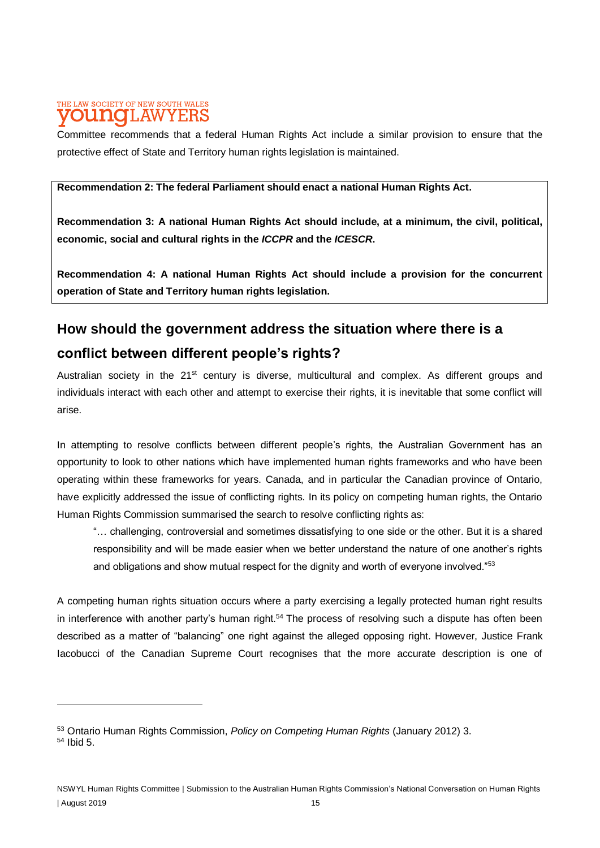#### THE LAW SOCIETY OF NEW SOUTH WALES T.AW **TELAIO** Y E:F

Committee recommends that a federal Human Rights Act include a similar provision to ensure that the protective effect of State and Territory human rights legislation is maintained.

### **Recommendation 2: The federal Parliament should enact a national Human Rights Act.**

**Recommendation 3: A national Human Rights Act should include, at a minimum, the civil, political, economic, social and cultural rights in the** *ICCPR* **and the** *ICESCR***.**

**Recommendation 4: A national Human Rights Act should include a provision for the concurrent operation of State and Territory human rights legislation.**

# **How should the government address the situation where there is a**

# **conflict between different people's rights?**

Australian society in the  $21<sup>st</sup>$  century is diverse, multicultural and complex. As different groups and individuals interact with each other and attempt to exercise their rights, it is inevitable that some conflict will arise.

In attempting to resolve conflicts between different people's rights, the Australian Government has an opportunity to look to other nations which have implemented human rights frameworks and who have been operating within these frameworks for years. Canada, and in particular the Canadian province of Ontario, have explicitly addressed the issue of conflicting rights. In its policy on competing human rights, the Ontario Human Rights Commission summarised the search to resolve conflicting rights as:

"… challenging, controversial and sometimes dissatisfying to one side or the other. But it is a shared responsibility and will be made easier when we better understand the nature of one another's rights and obligations and show mutual respect for the dignity and worth of everyone involved."<sup>53</sup>

A competing human rights situation occurs where a party exercising a legally protected human right results in interference with another party's human right.<sup>54</sup> The process of resolving such a dispute has often been described as a matter of "balancing" one right against the alleged opposing right. However, Justice Frank Iacobucci of the Canadian Supreme Court recognises that the more accurate description is one of

<sup>53</sup> Ontario Human Rights Commission, *Policy on Competing Human Rights* (January 2012) 3. <sup>54</sup> Ibid 5.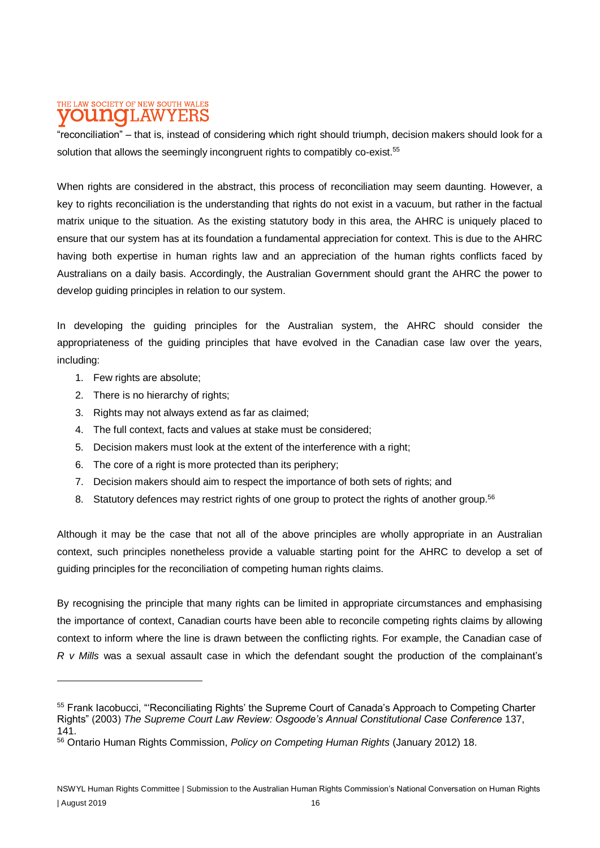#### THE LAW SOCIETY OF NEW SOUTH WALES **LAWYER** nume

"reconciliation" – that is, instead of considering which right should triumph, decision makers should look for a solution that allows the seemingly incongruent rights to compatibly co-exist.<sup>55</sup>

When rights are considered in the abstract, this process of reconciliation may seem daunting. However, a key to rights reconciliation is the understanding that rights do not exist in a vacuum, but rather in the factual matrix unique to the situation. As the existing statutory body in this area, the AHRC is uniquely placed to ensure that our system has at its foundation a fundamental appreciation for context. This is due to the AHRC having both expertise in human rights law and an appreciation of the human rights conflicts faced by Australians on a daily basis. Accordingly, the Australian Government should grant the AHRC the power to develop guiding principles in relation to our system.

In developing the guiding principles for the Australian system, the AHRC should consider the appropriateness of the guiding principles that have evolved in the Canadian case law over the years, including:

1. Few rights are absolute;

- 2. There is no hierarchy of rights;
- 3. Rights may not always extend as far as claimed;
- 4. The full context, facts and values at stake must be considered;
- 5. Decision makers must look at the extent of the interference with a right;
- 6. The core of a right is more protected than its periphery;
- 7. Decision makers should aim to respect the importance of both sets of rights; and
- 8. Statutory defences may restrict rights of one group to protect the rights of another group.<sup>56</sup>

Although it may be the case that not all of the above principles are wholly appropriate in an Australian context, such principles nonetheless provide a valuable starting point for the AHRC to develop a set of guiding principles for the reconciliation of competing human rights claims.

By recognising the principle that many rights can be limited in appropriate circumstances and emphasising the importance of context, Canadian courts have been able to reconcile competing rights claims by allowing context to inform where the line is drawn between the conflicting rights. For example, the Canadian case of *R v Mills* was a sexual assault case in which the defendant sought the production of the complainant's

<sup>&</sup>lt;sup>55</sup> Frank Iacobucci, "'Reconciliating Rights' the Supreme Court of Canada's Approach to Competing Charter Rights" (2003) *The Supreme Court Law Review: Osgoode's Annual Constitutional Case Conference* 137, 141.

<sup>56</sup> Ontario Human Rights Commission, *Policy on Competing Human Rights* (January 2012) 18.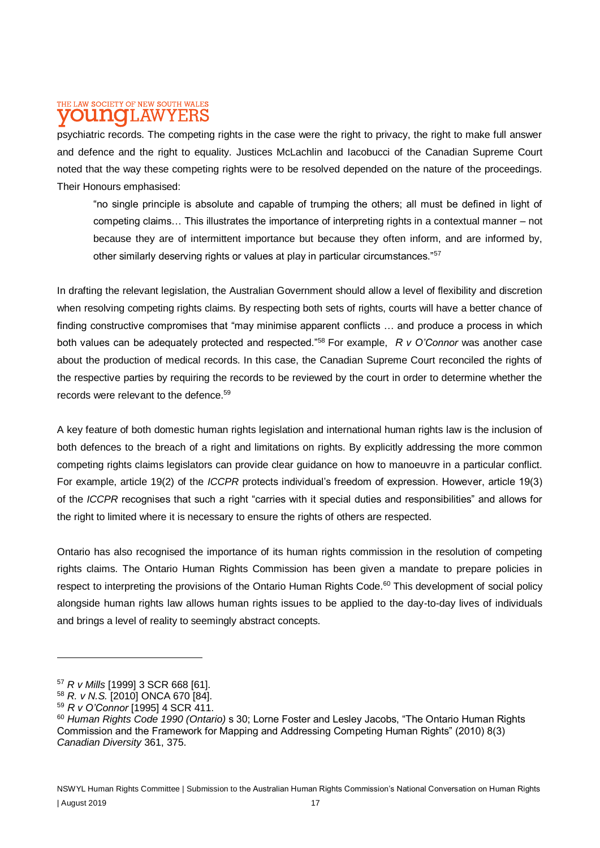#### THE LAW SOCIETY OF NEW SOUTH WALES **LAW** Minte

psychiatric records. The competing rights in the case were the right to privacy, the right to make full answer and defence and the right to equality. Justices McLachlin and Iacobucci of the Canadian Supreme Court noted that the way these competing rights were to be resolved depended on the nature of the proceedings. Their Honours emphasised:

"no single principle is absolute and capable of trumping the others; all must be defined in light of competing claims… This illustrates the importance of interpreting rights in a contextual manner – not because they are of intermittent importance but because they often inform, and are informed by, other similarly deserving rights or values at play in particular circumstances."<sup>57</sup>

In drafting the relevant legislation, the Australian Government should allow a level of flexibility and discretion when resolving competing rights claims. By respecting both sets of rights, courts will have a better chance of finding constructive compromises that "may minimise apparent conflicts … and produce a process in which both values can be adequately protected and respected."<sup>58</sup> For example, *R v O'Connor* was another case about the production of medical records. In this case, the Canadian Supreme Court reconciled the rights of the respective parties by requiring the records to be reviewed by the court in order to determine whether the records were relevant to the defence.<sup>59</sup>

A key feature of both domestic human rights legislation and international human rights law is the inclusion of both defences to the breach of a right and limitations on rights. By explicitly addressing the more common competing rights claims legislators can provide clear guidance on how to manoeuvre in a particular conflict. For example, article 19(2) of the *ICCPR* protects individual's freedom of expression. However, article 19(3) of the *ICCPR* recognises that such a right "carries with it special duties and responsibilities" and allows for the right to limited where it is necessary to ensure the rights of others are respected.

Ontario has also recognised the importance of its human rights commission in the resolution of competing rights claims. The Ontario Human Rights Commission has been given a mandate to prepare policies in respect to interpreting the provisions of the Ontario Human Rights Code.<sup>60</sup> This development of social policy alongside human rights law allows human rights issues to be applied to the day-to-day lives of individuals and brings a level of reality to seemingly abstract concepts.

<sup>57</sup> *R v Mills* [1999] 3 SCR 668 [61].

<sup>58</sup> *R. v N.S.* [2010] ONCA 670 [84].

<sup>59</sup> *R v O'Connor* [1995] 4 SCR 411.

<sup>60</sup> *Human Rights Code 1990 (Ontario)* s 30; Lorne Foster and Lesley Jacobs, "The Ontario Human Rights Commission and the Framework for Mapping and Addressing Competing Human Rights" (2010) 8(3) *Canadian Diversity* 361, 375.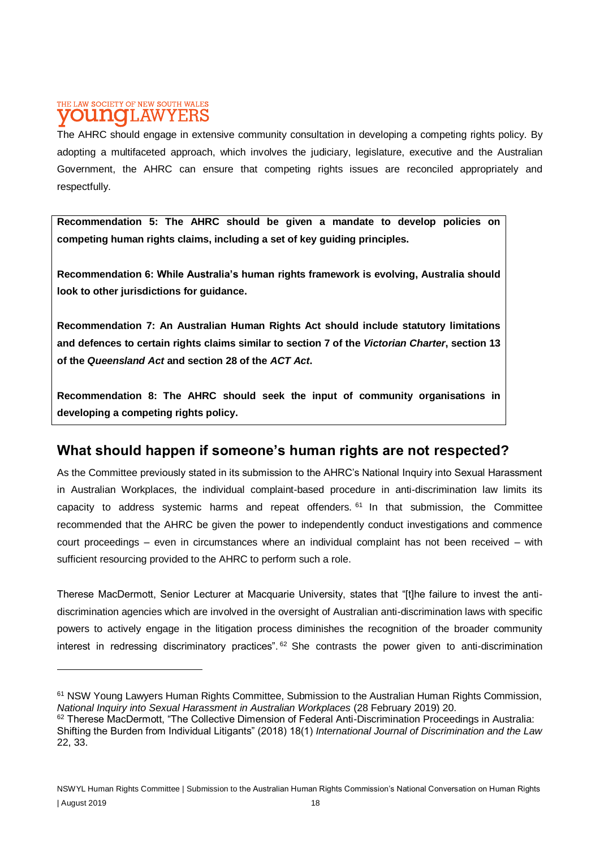### THE LAW SOCIETY OF NEW SOUTH WALES **DUNOLAWYERS**

The AHRC should engage in extensive community consultation in developing a competing rights policy. By adopting a multifaceted approach, which involves the judiciary, legislature, executive and the Australian Government, the AHRC can ensure that competing rights issues are reconciled appropriately and respectfully.

**Recommendation 5: The AHRC should be given a mandate to develop policies on competing human rights claims, including a set of key guiding principles.**

**Recommendation 6: While Australia's human rights framework is evolving, Australia should look to other jurisdictions for guidance.**

**Recommendation 7: An Australian Human Rights Act should include statutory limitations and defences to certain rights claims similar to section 7 of the** *Victorian Charter***, section 13 of the** *Queensland Act* **and section 28 of the** *ACT Act***.**

**Recommendation 8: The AHRC should seek the input of community organisations in developing a competing rights policy.**

# **What should happen if someone's human rights are not respected?**

As the Committee previously stated in its submission to the AHRC's National Inquiry into Sexual Harassment in Australian Workplaces, the individual complaint-based procedure in anti-discrimination law limits its capacity to address systemic harms and repeat offenders.  $61$  In that submission, the Committee recommended that the AHRC be given the power to independently conduct investigations and commence court proceedings – even in circumstances where an individual complaint has not been received – with sufficient resourcing provided to the AHRC to perform such a role.

Therese MacDermott, Senior Lecturer at Macquarie University, states that "[t]he failure to invest the antidiscrimination agencies which are involved in the oversight of Australian anti-discrimination laws with specific powers to actively engage in the litigation process diminishes the recognition of the broader community interest in redressing discriminatory practices".<sup>62</sup> She contrasts the power given to anti-discrimination

<sup>61</sup> NSW Young Lawyers Human Rights Committee, Submission to the Australian Human Rights Commission, *National Inquiry into Sexual Harassment in Australian Workplaces* (28 February 2019) 20.

<sup>&</sup>lt;sup>62</sup> Therese MacDermott, "The Collective Dimension of Federal Anti-Discrimination Proceedings in Australia: Shifting the Burden from Individual Litigants" (2018) 18(1) *International Journal of Discrimination and the Law*  22, 33.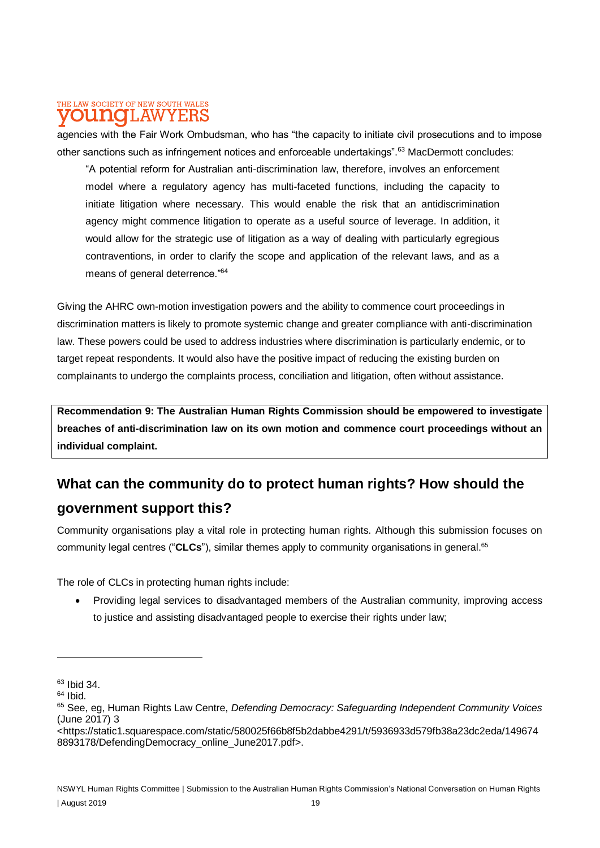#### THE LAW SOCIETY OF NEW SOUTH WALES **LAWYERS** Minte

agencies with the Fair Work Ombudsman, who has "the capacity to initiate civil prosecutions and to impose other sanctions such as infringement notices and enforceable undertakings".<sup>63</sup> MacDermott concludes:

"A potential reform for Australian anti-discrimination law, therefore, involves an enforcement model where a regulatory agency has multi-faceted functions, including the capacity to initiate litigation where necessary. This would enable the risk that an antidiscrimination agency might commence litigation to operate as a useful source of leverage. In addition, it would allow for the strategic use of litigation as a way of dealing with particularly egregious contraventions, in order to clarify the scope and application of the relevant laws, and as a means of general deterrence."<sup>64</sup>

Giving the AHRC own-motion investigation powers and the ability to commence court proceedings in discrimination matters is likely to promote systemic change and greater compliance with anti-discrimination law. These powers could be used to address industries where discrimination is particularly endemic, or to target repeat respondents. It would also have the positive impact of reducing the existing burden on complainants to undergo the complaints process, conciliation and litigation, often without assistance.

**Recommendation 9: The Australian Human Rights Commission should be empowered to investigate breaches of anti-discrimination law on its own motion and commence court proceedings without an individual complaint.**

# **What can the community do to protect human rights? How should the government support this?**

Community organisations play a vital role in protecting human rights. Although this submission focuses on community legal centres ("**CLCs**"), similar themes apply to community organisations in general.<sup>65</sup>

The role of CLCs in protecting human rights include:

• Providing legal services to disadvantaged members of the Australian community, improving access to justice and assisting disadvantaged people to exercise their rights under law;

 $63$  Ibid 34.

 $64$  Ibid.

<sup>65</sup> See, eg, Human Rights Law Centre, *Defending Democracy: Safeguarding Independent Community Voices*  (June 2017) 3

<sup>&</sup>lt;https://static1.squarespace.com/static/580025f66b8f5b2dabbe4291/t/5936933d579fb38a23dc2eda/149674 8893178/DefendingDemocracy\_online\_June2017.pdf>.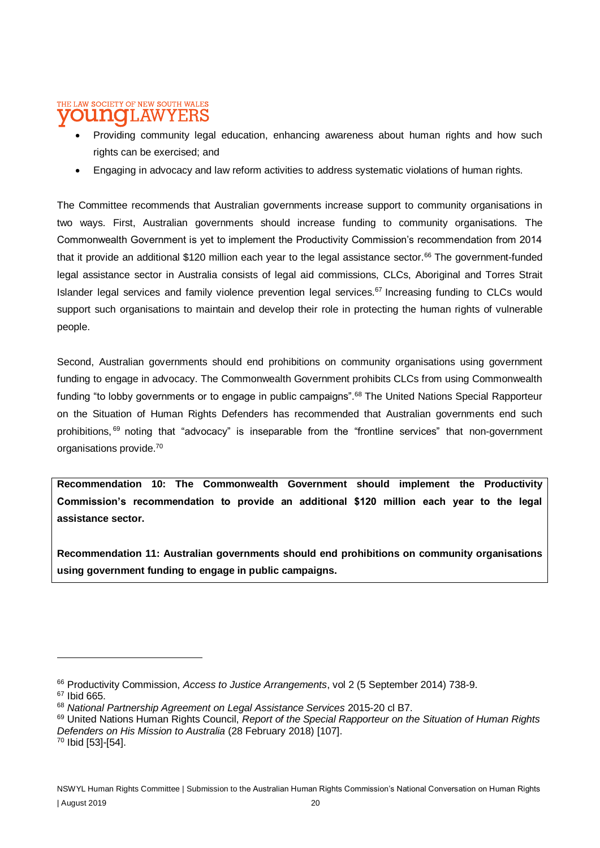#### THE LAW SOCIETY OF NEW SOUTH WALES **T.AW** Y F.F

- Providing community legal education, enhancing awareness about human rights and how such rights can be exercised; and
- Engaging in advocacy and law reform activities to address systematic violations of human rights.

The Committee recommends that Australian governments increase support to community organisations in two ways. First, Australian governments should increase funding to community organisations. The Commonwealth Government is yet to implement the Productivity Commission's recommendation from 2014 that it provide an additional \$120 million each year to the legal assistance sector.<sup>66</sup> The government-funded legal assistance sector in Australia consists of legal aid commissions, CLCs, Aboriginal and Torres Strait Islander legal services and family violence prevention legal services.<sup>67</sup> Increasing funding to CLCs would support such organisations to maintain and develop their role in protecting the human rights of vulnerable people.

Second, Australian governments should end prohibitions on community organisations using government funding to engage in advocacy. The Commonwealth Government prohibits CLCs from using Commonwealth funding "to lobby governments or to engage in public campaigns".<sup>68</sup> The United Nations Special Rapporteur on the Situation of Human Rights Defenders has recommended that Australian governments end such prohibitions, <sup>69</sup> noting that "advocacy" is inseparable from the "frontline services" that non-government organisations provide.<sup>70</sup>

**Recommendation 10: The Commonwealth Government should implement the Productivity Commission's recommendation to provide an additional \$120 million each year to the legal assistance sector.**

**Recommendation 11: Australian governments should end prohibitions on community organisations using government funding to engage in public campaigns.**

<sup>66</sup> Productivity Commission, *Access to Justice Arrangements*, vol 2 (5 September 2014) 738-9.

<sup>67</sup> Ibid 665.

<sup>68</sup> *National Partnership Agreement on Legal Assistance Services* 2015-20 cl B7.

<sup>69</sup> United Nations Human Rights Council, *Report of the Special Rapporteur on the Situation of Human Rights Defenders on His Mission to Australia* (28 February 2018) [107].

<sup>70</sup> Ibid [53]-[54].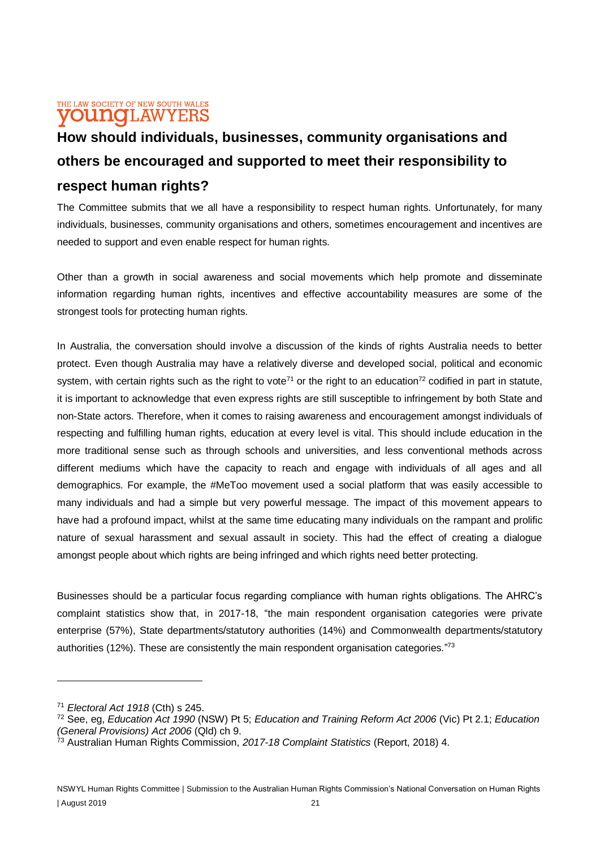### THE LAW SOCIETY OF NEW SOUTH WALES **OUNOLAWYERS**

# **How should individuals, businesses, community organisations and others be encouraged and supported to meet their responsibility to respect human rights?**

The Committee submits that we all have a responsibility to respect human rights. Unfortunately, for many individuals, businesses, community organisations and others, sometimes encouragement and incentives are needed to support and even enable respect for human rights.

Other than a growth in social awareness and social movements which help promote and disseminate information regarding human rights, incentives and effective accountability measures are some of the strongest tools for protecting human rights.

In Australia, the conversation should involve a discussion of the kinds of rights Australia needs to better protect. Even though Australia may have a relatively diverse and developed social, political and economic system, with certain rights such as the right to vote<sup>71</sup> or the right to an education<sup>72</sup> codified in part in statute, it is important to acknowledge that even express rights are still susceptible to infringement by both State and non-State actors. Therefore, when it comes to raising awareness and encouragement amongst individuals of respecting and fulfilling human rights, education at every level is vital. This should include education in the more traditional sense such as through schools and universities, and less conventional methods across different mediums which have the capacity to reach and engage with individuals of all ages and all demographics. For example, the #MeToo movement used a social platform that was easily accessible to many individuals and had a simple but very powerful message. The impact of this movement appears to have had a profound impact, whilst at the same time educating many individuals on the rampant and prolific nature of sexual harassment and sexual assault in society. This had the effect of creating a dialogue amongst people about which rights are being infringed and which rights need better protecting.

Businesses should be a particular focus regarding compliance with human rights obligations. The AHRC's complaint statistics show that, in 2017-18, "the main respondent organisation categories were private enterprise (57%), State departments/statutory authorities (14%) and Commonwealth departments/statutory authorities (12%). These are consistently the main respondent organisation categories."<sup>73</sup>

<sup>71</sup> *Electoral Act 1918* (Cth) s 245.

<sup>72</sup> See, eg, *Education Act 1990* (NSW) Pt 5; *Education and Training Reform Act 2006* (Vic) Pt 2.1; *Education (General Provisions) Act 2006* (Qld) ch 9.

<sup>73</sup> Australian Human Rights Commission, *2017-18 Complaint Statistics* (Report, 2018) 4.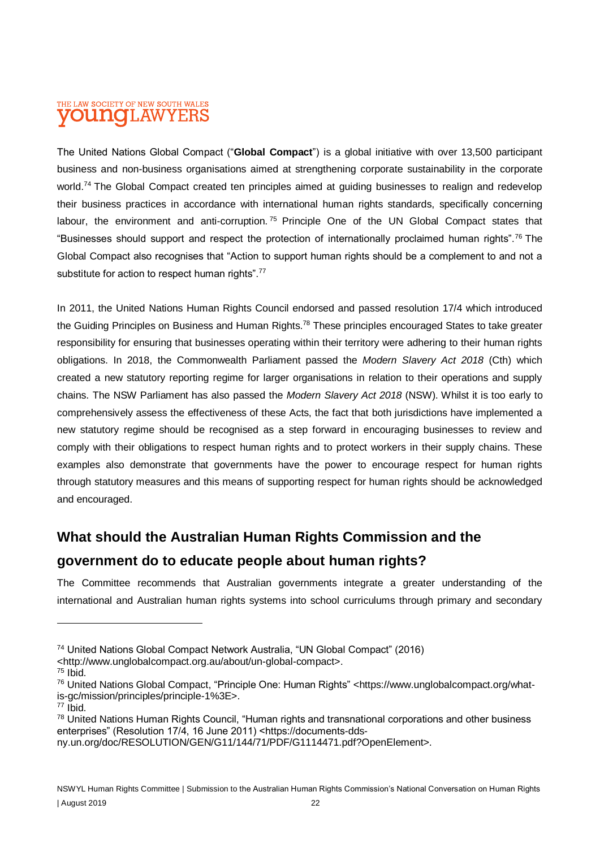#### THE LAW SOCIETY OF NEW SOUTH WALES **OUINCILAW** YEI

The United Nations Global Compact ("**Global Compact**") is a global initiative with over 13,500 participant business and non-business organisations aimed at strengthening corporate sustainability in the corporate world.<sup>74</sup> The Global Compact created ten principles aimed at guiding businesses to realign and redevelop their business practices in accordance with international human rights standards, specifically concerning labour, the environment and anti-corruption.<sup>75</sup> Principle One of the UN Global Compact states that "Businesses should support and respect the protection of internationally proclaimed human rights".<sup>76</sup> The Global Compact also recognises that "Action to support human rights should be a complement to and not a substitute for action to respect human rights".<sup>77</sup>

In 2011, the United Nations Human Rights Council endorsed and passed resolution 17/4 which introduced the Guiding Principles on Business and Human Rights.<sup>78</sup> These principles encouraged States to take greater responsibility for ensuring that businesses operating within their territory were adhering to their human rights obligations. In 2018, the Commonwealth Parliament passed the *Modern Slavery Act 2018* (Cth) which created a new statutory reporting regime for larger organisations in relation to their operations and supply chains. The NSW Parliament has also passed the *Modern Slavery Act 2018* (NSW). Whilst it is too early to comprehensively assess the effectiveness of these Acts, the fact that both jurisdictions have implemented a new statutory regime should be recognised as a step forward in encouraging businesses to review and comply with their obligations to respect human rights and to protect workers in their supply chains. These examples also demonstrate that governments have the power to encourage respect for human rights through statutory measures and this means of supporting respect for human rights should be acknowledged and encouraged.

# **What should the Australian Human Rights Commission and the**

# **government do to educate people about human rights?**

The Committee recommends that Australian governments integrate a greater understanding of the international and Australian human rights systems into school curriculums through primary and secondary

<http://www.unglobalcompact.org.au/about/un-global-compact>.

<sup>74</sup> United Nations Global Compact Network Australia, "UN Global Compact" (2016)

<sup>75</sup> Ibid.

<sup>76</sup> United Nations Global Compact, "Principle One: Human Rights" <https://www.unglobalcompact.org/whatis-gc/mission/principles/principle-1%3E>.

 $77$  Ibid.

<sup>78</sup> United Nations Human Rights Council, "Human rights and transnational corporations and other business enterprises" (Resolution 17/4, 16 June 2011) <https://documents-dds-

ny.un.org/doc/RESOLUTION/GEN/G11/144/71/PDF/G1114471.pdf?OpenElement>.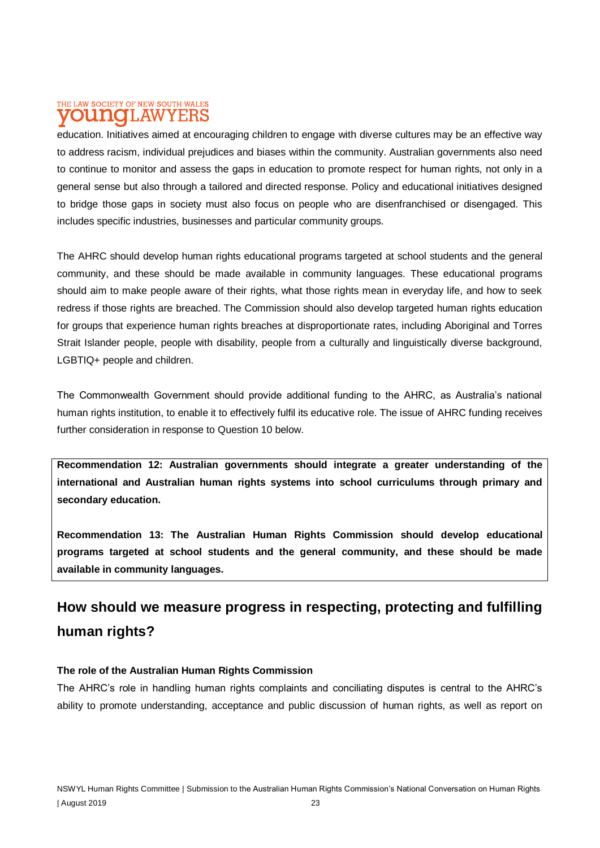#### THE LAW SOCIETY OF NEW SOUTH WALES **T.AW** Minte

education. Initiatives aimed at encouraging children to engage with diverse cultures may be an effective way to address racism, individual prejudices and biases within the community. Australian governments also need to continue to monitor and assess the gaps in education to promote respect for human rights, not only in a general sense but also through a tailored and directed response. Policy and educational initiatives designed to bridge those gaps in society must also focus on people who are disenfranchised or disengaged. This includes specific industries, businesses and particular community groups.

The AHRC should develop human rights educational programs targeted at school students and the general community, and these should be made available in community languages. These educational programs should aim to make people aware of their rights, what those rights mean in everyday life, and how to seek redress if those rights are breached. The Commission should also develop targeted human rights education for groups that experience human rights breaches at disproportionate rates, including Aboriginal and Torres Strait Islander people, people with disability, people from a culturally and linguistically diverse background, LGBTIQ+ people and children.

The Commonwealth Government should provide additional funding to the AHRC, as Australia's national human rights institution, to enable it to effectively fulfil its educative role. The issue of AHRC funding receives further consideration in response to Question 10 below.

**Recommendation 12: Australian governments should integrate a greater understanding of the international and Australian human rights systems into school curriculums through primary and secondary education.**

**Recommendation 13: The Australian Human Rights Commission should develop educational programs targeted at school students and the general community, and these should be made available in community languages.**

# **How should we measure progress in respecting, protecting and fulfilling human rights?**

#### **The role of the Australian Human Rights Commission**

The AHRC's role in handling human rights complaints and conciliating disputes is central to the AHRC's ability to promote understanding, acceptance and public discussion of human rights, as well as report on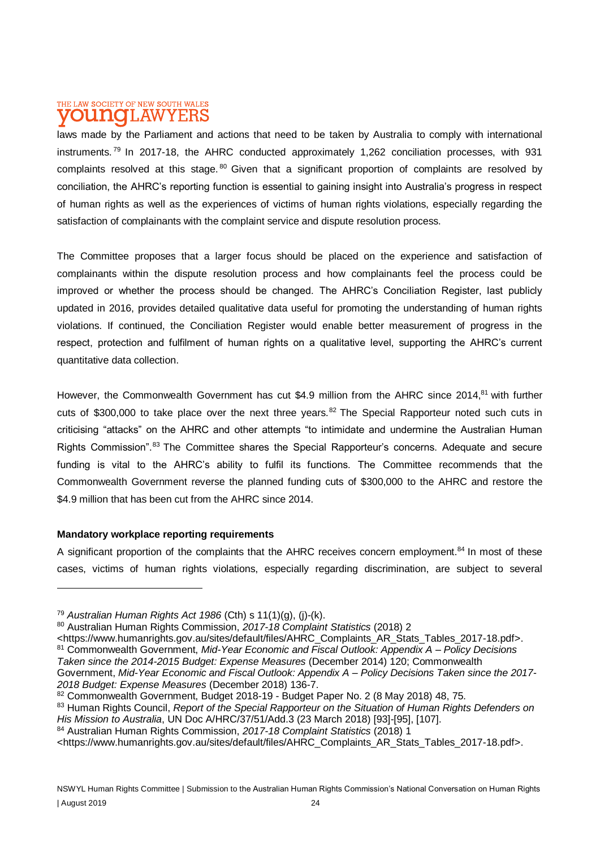### THE LAW SOCIETY OF NEW SOUTH WALES **DUINOILAWYEH**

laws made by the Parliament and actions that need to be taken by Australia to comply with international instruments. <sup>79</sup> In 2017-18, the AHRC conducted approximately 1,262 conciliation processes, with 931 complaints resolved at this stage. <sup>80</sup> Given that a significant proportion of complaints are resolved by conciliation, the AHRC's reporting function is essential to gaining insight into Australia's progress in respect of human rights as well as the experiences of victims of human rights violations, especially regarding the satisfaction of complainants with the complaint service and dispute resolution process.

The Committee proposes that a larger focus should be placed on the experience and satisfaction of complainants within the dispute resolution process and how complainants feel the process could be improved or whether the process should be changed. The AHRC's Conciliation Register, last publicly updated in 2016, provides detailed qualitative data useful for promoting the understanding of human rights violations. If continued, the Conciliation Register would enable better measurement of progress in the respect, protection and fulfilment of human rights on a qualitative level, supporting the AHRC's current quantitative data collection.

However, the Commonwealth Government has cut \$4.9 million from the AHRC since 2014,<sup>81</sup> with further cuts of \$300,000 to take place over the next three years.<sup>82</sup> The Special Rapporteur noted such cuts in criticising "attacks" on the AHRC and other attempts "to intimidate and undermine the Australian Human Rights Commission".<sup>83</sup> The Committee shares the Special Rapporteur's concerns. Adequate and secure funding is vital to the AHRC's ability to fulfil its functions. The Committee recommends that the Commonwealth Government reverse the planned funding cuts of \$300,000 to the AHRC and restore the \$4.9 million that has been cut from the AHRC since 2014.

#### **Mandatory workplace reporting requirements**

A significant proportion of the complaints that the AHRC receives concern employment.<sup>84</sup> In most of these cases, victims of human rights violations, especially regarding discrimination, are subject to several

<https://www.humanrights.gov.au/sites/default/files/AHRC\_Complaints\_AR\_Stats\_Tables\_2017-18.pdf>.

<sup>84</sup> Australian Human Rights Commission, *2017-18 Complaint Statistics* (2018) 1

<sup>79</sup> *Australian Human Rights Act 1986* (Cth) s 11(1)(g), (j)-(k).

<sup>80</sup> Australian Human Rights Commission, *2017-18 Complaint Statistics* (2018) 2

<sup>81</sup> Commonwealth Government, *Mid-Year Economic and Fiscal Outlook: Appendix A – Policy Decisions* 

*Taken since the 2014-2015 Budget: Expense Measures* (December 2014) 120; Commonwealth

Government, *Mid-Year Economic and Fiscal Outlook: Appendix A – Policy Decisions Taken since the 2017- 2018 Budget: Expense Measures* (December 2018) 136-7.

<sup>82</sup> Commonwealth Government, Budget 2018-19 - Budget Paper No. 2 (8 May 2018) 48, 75.

<sup>83</sup> Human Rights Council, *Report of the Special Rapporteur on the Situation of Human Rights Defenders on His Mission to Australia*, UN Doc A/HRC/37/51/Add.3 (23 March 2018) [93]-[95], [107].

<sup>&</sup>lt;https://www.humanrights.gov.au/sites/default/files/AHRC\_Complaints\_AR\_Stats\_Tables\_2017-18.pdf>.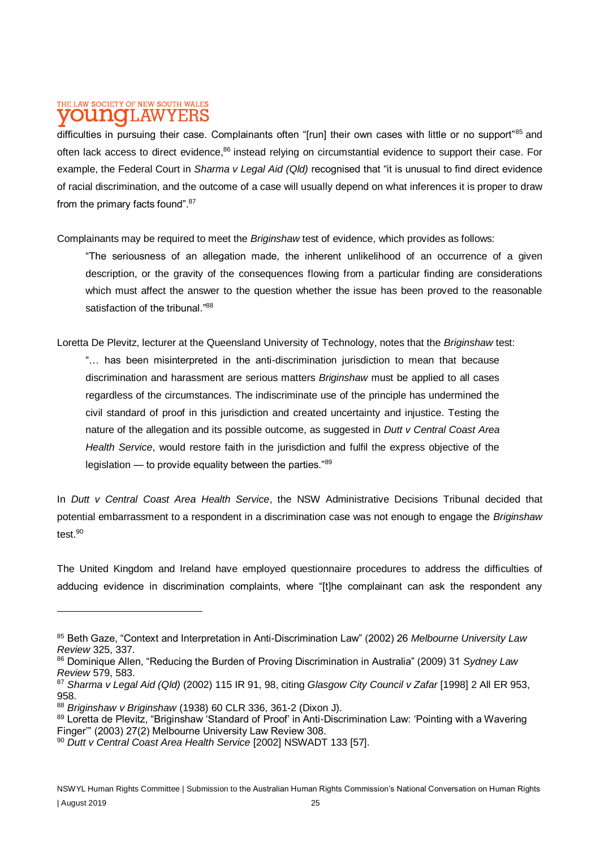### THE LAW SOCIETY OF NEW SOUTH WALES **DUITIOTLAWYERS**

difficulties in pursuing their case. Complainants often "[run] their own cases with little or no support"85 and often lack access to direct evidence,<sup>86</sup> instead relying on circumstantial evidence to support their case. For example, the Federal Court in *Sharma v Legal Aid (Qld)* recognised that "it is unusual to find direct evidence of racial discrimination, and the outcome of a case will usually depend on what inferences it is proper to draw from the primary facts found".<sup>87</sup>

Complainants may be required to meet the *Briginshaw* test of evidence, which provides as follows:

"The seriousness of an allegation made, the inherent unlikelihood of an occurrence of a given description, or the gravity of the consequences flowing from a particular finding are considerations which must affect the answer to the question whether the issue has been proved to the reasonable satisfaction of the tribunal."88

Loretta De Plevitz, lecturer at the Queensland University of Technology, notes that the *Briginshaw* test: "… has been misinterpreted in the anti-discrimination jurisdiction to mean that because discrimination and harassment are serious matters *Briginshaw* must be applied to all cases regardless of the circumstances. The indiscriminate use of the principle has undermined the civil standard of proof in this jurisdiction and created uncertainty and injustice. Testing the nature of the allegation and its possible outcome, as suggested in *Dutt v Central Coast Area Health Service*, would restore faith in the jurisdiction and fulfil the express objective of the legislation — to provide equality between the parties."<sup>89</sup>

In *Dutt v Central Coast Area Health Service*, the NSW Administrative Decisions Tribunal decided that potential embarrassment to a respondent in a discrimination case was not enough to engage the *Briginshaw* test.<sup>90</sup>

The United Kingdom and Ireland have employed questionnaire procedures to address the difficulties of adducing evidence in discrimination complaints, where "[t]he complainant can ask the respondent any

<sup>85</sup> Beth Gaze, "Context and Interpretation in Anti-Discrimination Law" (2002) 26 *Melbourne University Law Review* 325, 337.

<sup>86</sup> Dominique Allen, "Reducing the Burden of Proving Discrimination in Australia" (2009) 31 *Sydney Law Review* 579, 583.

<sup>87</sup> *Sharma v Legal Aid (Qld)* (2002) 115 IR 91, 98, citing *Glasgow City Council v Zafar* [1998] 2 All ER 953, 958.

<sup>88</sup> *Briginshaw v Briginshaw* (1938) 60 CLR 336, 361-2 (Dixon J).

<sup>89</sup> Loretta de Plevitz, "Briginshaw 'Standard of Proof' in Anti-Discrimination Law: 'Pointing with a Wavering Finger'" (2003) 27(2) Melbourne University Law Review 308.

<sup>90</sup> *Dutt v Central Coast Area Health Service* [2002] NSWADT 133 [57].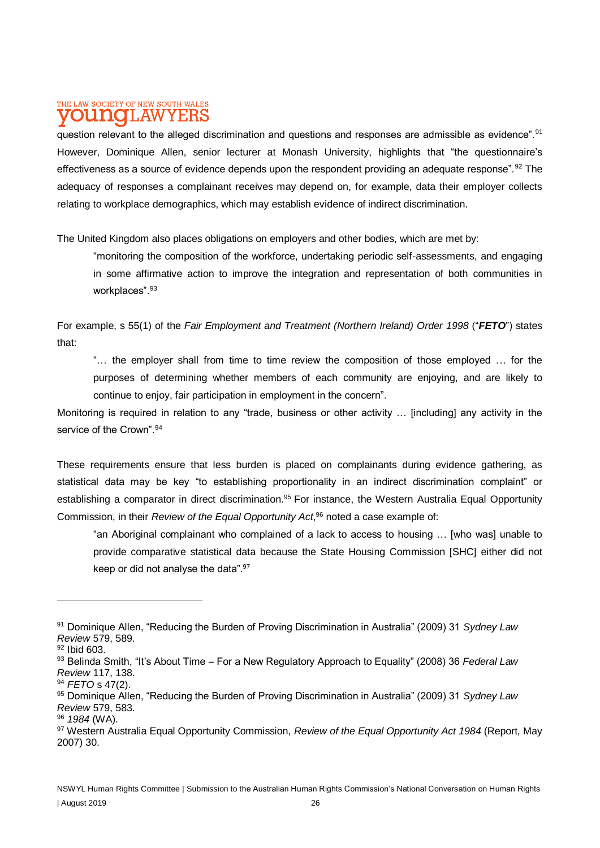### THE LAW SOCIETY OF NEW SOUTH WALES **DU NOTLAWYEF**

question relevant to the alleged discrimination and questions and responses are admissible as evidence".<sup>91</sup> However, Dominique Allen, senior lecturer at Monash University, highlights that "the questionnaire's effectiveness as a source of evidence depends upon the respondent providing an adequate response".<sup>92</sup> The adequacy of responses a complainant receives may depend on, for example, data their employer collects relating to workplace demographics, which may establish evidence of indirect discrimination.

The United Kingdom also places obligations on employers and other bodies, which are met by:

"monitoring the composition of the workforce, undertaking periodic self-assessments, and engaging in some affirmative action to improve the integration and representation of both communities in workplaces".<sup>93</sup>

For example, s 55(1) of the *Fair Employment and Treatment (Northern Ireland) Order 1998* ("*FETO*") states that:

"… the employer shall from time to time review the composition of those employed … for the purposes of determining whether members of each community are enjoying, and are likely to continue to enjoy, fair participation in employment in the concern".

Monitoring is required in relation to any "trade, business or other activity … [including] any activity in the service of the Crown". 94

These requirements ensure that less burden is placed on complainants during evidence gathering, as statistical data may be key "to establishing proportionality in an indirect discrimination complaint" or establishing a comparator in direct discrimination.<sup>95</sup> For instance, the Western Australia Equal Opportunity Commission, in their *Review of the Equal Opportunity Act*, <sup>96</sup> noted a case example of:

"an Aboriginal complainant who complained of a lack to access to housing … [who was] unable to provide comparative statistical data because the State Housing Commission [SHC] either did not keep or did not analyse the data".<sup>97</sup>

<sup>91</sup> Dominique Allen, "Reducing the Burden of Proving Discrimination in Australia" (2009) 31 *Sydney Law Review* 579, 589.

<sup>92</sup> Ibid 603.

<sup>93</sup> Belinda Smith, "It's About Time – For a New Regulatory Approach to Equality" (2008) 36 *Federal Law Review* 117, 138.

<sup>94</sup> *FETO* s 47(2).

<sup>95</sup> Dominique Allen, "Reducing the Burden of Proving Discrimination in Australia" (2009) 31 *Sydney Law Review* 579, 583.

<sup>96</sup> *1984* (WA).

<sup>97</sup> Western Australia Equal Opportunity Commission, *Review of the Equal Opportunity Act 1984* (Report, May 2007) 30.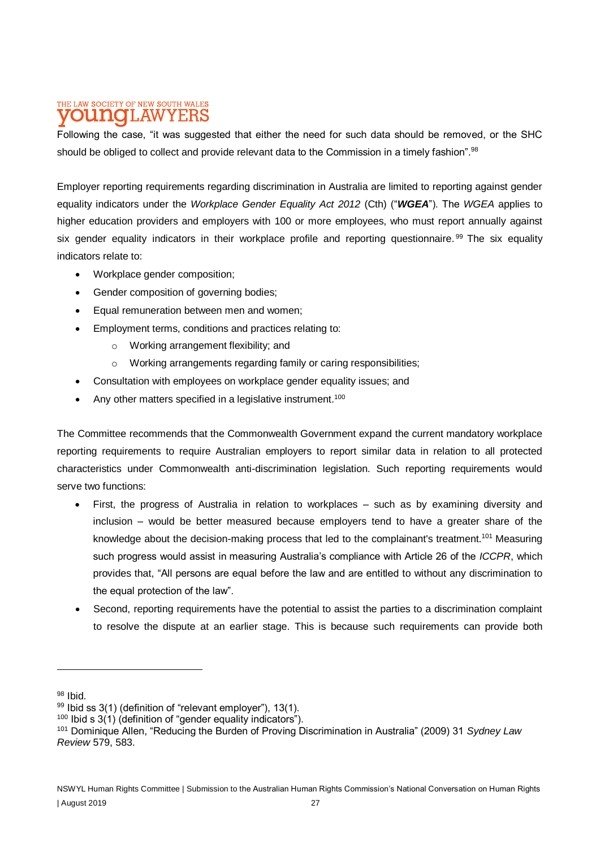### THE LAW SOCIETY OF NEW SOUTH WALES **DUNOLAWYER**

Following the case, "it was suggested that either the need for such data should be removed, or the SHC should be obliged to collect and provide relevant data to the Commission in a timely fashion".<sup>98</sup>

Employer reporting requirements regarding discrimination in Australia are limited to reporting against gender equality indicators under the *Workplace Gender Equality Act 2012* (Cth) ("*WGEA*"). The *WGEA* applies to higher education providers and employers with 100 or more employees, who must report annually against six gender equality indicators in their workplace profile and reporting questionnaire.<sup>99</sup> The six equality indicators relate to:

- Workplace gender composition;
- Gender composition of governing bodies;
- Equal remuneration between men and women;
- Employment terms, conditions and practices relating to:
	- o Working arrangement flexibility; and
	- o Working arrangements regarding family or caring responsibilities;
- Consultation with employees on workplace gender equality issues: and
- Any other matters specified in a legislative instrument.<sup>100</sup>

The Committee recommends that the Commonwealth Government expand the current mandatory workplace reporting requirements to require Australian employers to report similar data in relation to all protected characteristics under Commonwealth anti-discrimination legislation. Such reporting requirements would serve two functions:

- First, the progress of Australia in relation to workplaces such as by examining diversity and inclusion – would be better measured because employers tend to have a greater share of the knowledge about the decision-making process that led to the complainant's treatment.<sup>101</sup> Measuring such progress would assist in measuring Australia's compliance with Article 26 of the *ICCPR*, which provides that, "All persons are equal before the law and are entitled to without any discrimination to the equal protection of the law".
- Second, reporting requirements have the potential to assist the parties to a discrimination complaint to resolve the dispute at an earlier stage. This is because such requirements can provide both

<sup>98</sup> Ibid.

<sup>99</sup> Ibid ss 3(1) (definition of "relevant employer"), 13(1).

 $100$  Ibid s 3(1) (definition of "gender equality indicators").

<sup>101</sup> Dominique Allen, "Reducing the Burden of Proving Discrimination in Australia" (2009) 31 *Sydney Law Review* 579, 583.